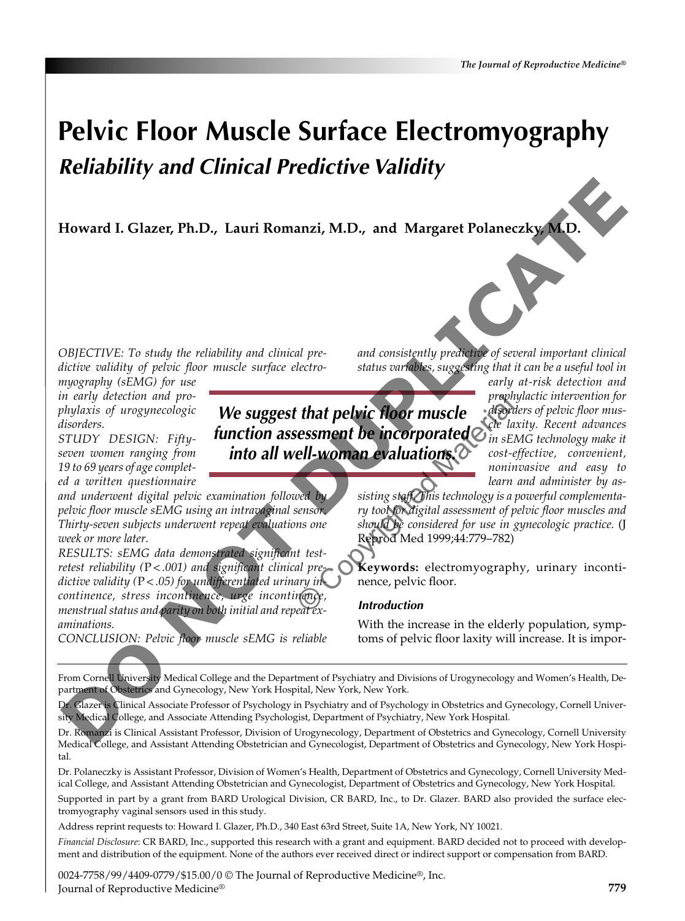# **Pelvic Floor Muscle Surface Electromyography** *Reliability and Clinical Predictive Validity*

**Howard I. Glazer, Ph.D., Lauri Romanzi, M.D., and Margaret Polaneczky, M.D.**

*OBJECTIVE: To study the reliability and clinical predictive validity of pelvic floor muscle surface electro-*

*myography (sEMG) for use in early detection and prophylaxis of urogynecologic disorders.*

*STUDY DESIGN: Fiftyseven women ranging from 19 to 69 years of age completed a written questionnaire*

*and underwent digital pelvic examination followed by pelvic floor muscle sEMG using an intravaginal sensor. Thirty-seven subjects underwent repeat evaluations one week or more later.*

*RESULTS: sEMG data demonstrated significant testretest reliability (*P*< .001) and significant clinical predictive validity (*P*< .05) for undifferentiated urinary incontinence, stress incontinence, urge incontinence, menstrual status and parity on both initial and repeat examinations.* **Howard I. Glazer, Ph.D., Lauri Romanzi, M.D., and Margaret Polaneczky, M.D.<br>
Howard I. Glazer, Ph.D., Lauri Romanzi, M.D., and Margaret Polaneczky, M.D.<br>
DO NOTE (For muscle surface electric status existency probables, s** 

*CONCLUSION: Pelvic floor muscle sEMG is reliable*

*and consistently predictive of several important clinical status variables, suggesting that it can be a useful tool in*

*We suggest that pelvic floor muscle function assessment be incorporated into all well-woman evaluations.*

*early at-risk detection and prophylactic intervention for disorders of pelvic floor muscle laxity. Recent advances in sEMG technology make it cost-effective, convenient, noninvasive and easy to learn and administer by as-*

*sisting staff. This technology is a powerful complementary tool for digital assessment of pelvic floor muscles and should be considered for use in gynecologic practice.* (J Reprod Med 1999;44:779–782)

**Keywords:** electromyography, urinary incontinence, pelvic floor.

## *Introduction*

With the increase in the elderly population, symptoms of pelvic floor laxity will increase. It is impor-

From Cornell University Medical College and the Department of Psychiatry and Divisions of Urogynecology and Women's Health, Department of Obstetrics and Gynecology, New York Hospital, New York, New York.

Dr. Glazer is Clinical Associate Professor of Psychology in Psychiatry and of Psychology in Obstetrics and Gynecology, Cornell University Medical College, and Associate Attending Psychologist, Department of Psychiatry, New York Hospital.

Dr. Romanzi is Clinical Assistant Professor, Division of Urogynecology, Department of Obstetrics and Gynecology, Cornell University Medical College, and Assistant Attending Obstetrician and Gynecologist, Department of Obstetrics and Gynecology, New York Hospital.

Dr. Polaneczky is Assistant Professor, Division of Women's Health, Department of Obstetrics and Gynecology, Cornell University Medical College, and Assistant Attending Obstetrician and Gynecologist, Department of Obstetrics and Gynecology, New York Hospital.

Supported in part by a grant from BARD Urological Division, CR BARD, Inc., to Dr. Glazer. BARD also provided the surface electromyography vaginal sensors used in this study.

Address reprint requests to: Howard I. Glazer, Ph.D., 340 East 63rd Street, Suite 1A, New York, NY 10021.

*Financial Disclosure*: CR BARD, Inc., supported this research with a grant and equipment. BARD decided not to proceed with development and distribution of the equipment. None of the authors ever received direct or indirect support or compensation from BARD.

0024-7758/99/4409-0779/\$15.00/0 © The Journal of Reproductive Medicine®, Inc. Journal of Reproductive Medicine®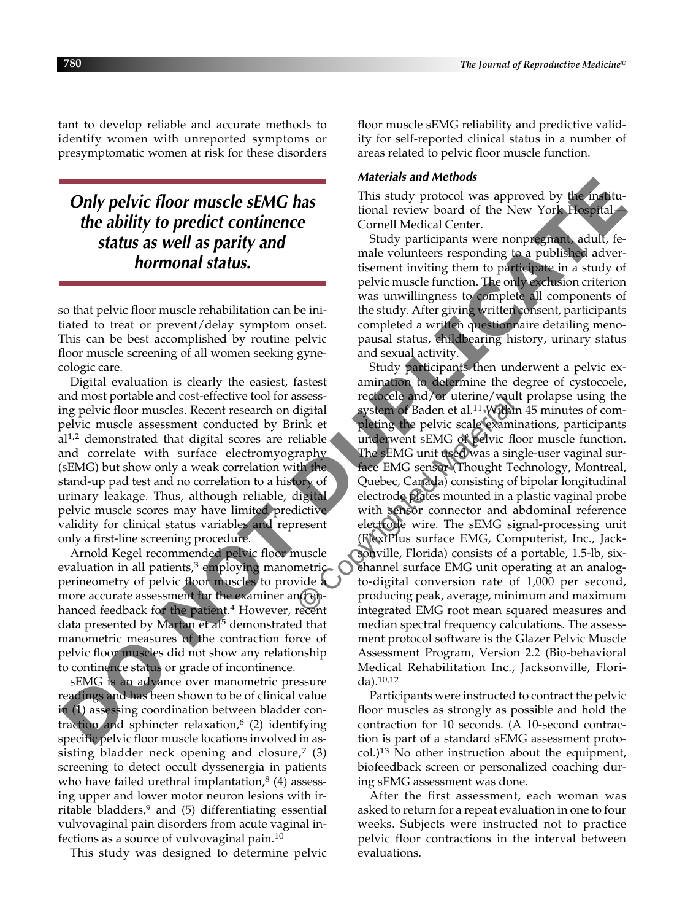tant to develop reliable and accurate methods to identify women with unreported symptoms or presymptomatic women at risk for these disorders

*Only pelvic floor muscle sEMG has the ability to predict continence status as well as parity and hormonal status.*

so that pelvic floor muscle rehabilitation can be initiated to treat or prevent/delay symptom onset. This can be best accomplished by routine pelvic floor muscle screening of all women seeking gynecologic care.

Digital evaluation is clearly the easiest, fastest and most portable and cost-effective tool for assessing pelvic floor muscles. Recent research on digital pelvic muscle assessment conducted by Brink et al1,2 demonstrated that digital scores are reliable and correlate with surface electromyography (sEMG) but show only a weak correlation with the stand-up pad test and no correlation to a history of urinary leakage. Thus, although reliable, digital pelvic muscle scores may have limited predictive validity for clinical status variables and represent only a first-line screening procedure.

Arnold Kegel recommended pelvic floor muscle evaluation in all patients, $3$  employing manometric perineometry of pelvic floor muscles to provide a more accurate assessment for the examiner and enhanced feedback for the patient.<sup>4</sup> However, recent data presented by Martan et al<sup>5</sup> demonstrated that manometric measures of the contraction force of pelvic floor muscles did not show any relationship to continence status or grade of incontinence.

sEMG is an advance over manometric pressure readings and has been shown to be of clinical value in (1) assessing coordination between bladder contraction and sphincter relaxation, $6$  (2) identifying specific pelvic floor muscle locations involved in assisting bladder neck opening and closure, $7$  (3) screening to detect occult dyssenergia in patients who have failed urethral implantation, $8(4)$  assessing upper and lower motor neuron lesions with irritable bladders, $9$  and (5) differentiating essential vulvovaginal pain disorders from acute vaginal infections as a source of vulvovaginal pain.10

This study was designed to determine pelvic

floor muscle sEMG reliability and predictive validity for self-reported clinical status in a number of areas related to pelvic floor muscle function.

### *Materials and Methods*

This study protocol was approved by the institutional review board of the New York Hospital— Cornell Medical Center.

Study participants were nonpregnant, adult, female volunteers responding to a published advertisement inviting them to participate in a study of pelvic muscle function. The only exclusion criterion was unwillingness to complete all components of the study. After giving written consent, participants completed a written questionnaire detailing menopausal status, childbearing history, urinary status and sexual activity.

Study participants then underwent a pelvic examination to determine the degree of cystocoele, rectocele and/or uterine/vault prolapse using the system of Baden et al.11 Within 45 minutes of completing the pelvic scale examinations, participants underwent sEMG of pelvic floor muscle function. The sEMG unit used was a single-user vaginal surface EMG sensor (Thought Technology, Montreal, Quebec, Canada) consisting of bipolar longitudinal electrode plates mounted in a plastic vaginal probe with sensor connector and abdominal reference electrode wire. The sEMG signal-processing unit (FlexiPlus surface EMG, Computerist, Inc., Jacksonville, Florida) consists of a portable, 1.5-lb, sixchannel surface EMG unit operating at an analogto-digital conversion rate of 1,000 per second, producing peak, average, minimum and maximum integrated EMG root mean squared measures and median spectral frequency calculations. The assessment protocol software is the Glazer Pelvic Muscle Assessment Program, Version 2.2 (Bio-behavioral Medical Rehabilitation Inc., Jacksonville, Florida).10,12 **Only pelvic floor muscle sEMG has**<br> **Data well as the medical conduct we suppressed by the institu-<br>
the ability to predict continence<br>
conducted Conduct the New York Hospital—<br>
<b>Status as well as parity and**<br>
Status and

Participants were instructed to contract the pelvic floor muscles as strongly as possible and hold the contraction for 10 seconds. (A 10-second contraction is part of a standard sEMG assessment protocol.)13 No other instruction about the equipment, biofeedback screen or personalized coaching during sEMG assessment was done.

After the first assessment, each woman was asked to return for a repeat evaluation in one to four weeks. Subjects were instructed not to practice pelvic floor contractions in the interval between evaluations.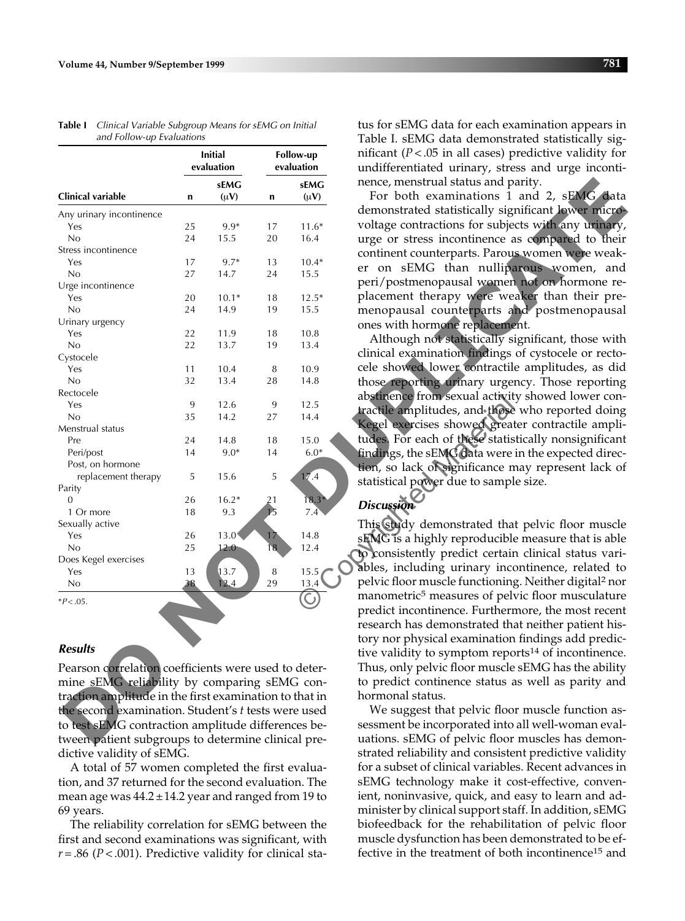| and Tonow-up Evaluations                               | <b>Initial</b> |           | <b>Follow-up</b><br>evaluation |           | Table 1. SEIVIG data demonstrated statistically sig-<br>nificant ( $P < .05$ in all cases) predictive validity for |
|--------------------------------------------------------|----------------|-----------|--------------------------------|-----------|--------------------------------------------------------------------------------------------------------------------|
|                                                        | evaluation     |           |                                |           | undifferentiated urinary, stress and urge inconti-                                                                 |
|                                                        |                | sEMG      |                                | sEMG      | nence, menstrual status and parity.                                                                                |
| Clinical variable                                      | n              | $(\mu V)$ | n                              | $(\mu V)$ | For both examinations 1 and 2, sEMG data                                                                           |
| Any urinary incontinence                               |                |           |                                |           | demonstrated statistically significant lower micro-                                                                |
| Yes                                                    | 25             | $9.9*$    | 17                             | $11.6*$   | voltage contractions for subjects with any urinary,                                                                |
| No                                                     | 24             | 15.5      | 20                             | 16.4      | urge or stress incontinence as compared to their                                                                   |
| Stress incontinence                                    |                |           |                                |           | continent counterparts. Parous women were weak-                                                                    |
| Yes                                                    | 17             | $9.7*$    | 13                             | $10.4*$   | er on sEMG than nulliparous women, and                                                                             |
| No                                                     | 27             | 14.7      | 24                             | 15.5      | peri/postmenopausal women not on hormone re-                                                                       |
| Urge incontinence                                      |                |           |                                |           |                                                                                                                    |
| Yes                                                    | 20             | $10.1*$   | 18                             | $12.5*$   | placement therapy were weaker than their pre-                                                                      |
| No                                                     | 24             | 14.9      | 19                             | 15.5      | menopausal counterparts and postmenopausal                                                                         |
| Urinary urgency                                        |                |           |                                |           | ones with hormone replacement.                                                                                     |
| Yes                                                    | 22             | 11.9      | 18                             | 10.8      | Although not statistically significant, those with                                                                 |
| No                                                     | 22             | 13.7      | 19                             | 13.4      | clinical examination findings of cystocele or recto-                                                               |
| Cystocele                                              |                |           |                                |           |                                                                                                                    |
| Yes                                                    | 11             | 10.4      | 8                              | 10.9      | cele showed lower contractile amplitudes, as did                                                                   |
| No                                                     | 32             | 13.4      | 28                             | 14.8      | those reporting urinary urgency. Those reporting                                                                   |
| Rectocele                                              |                |           |                                |           | abstinence from sexual activity showed lower con-                                                                  |
| Yes                                                    | 9              | 12.6      | 9                              | 12.5      | tractile amplitudes, and those who reported doing                                                                  |
| No                                                     | 35             | 14.2      | 27                             | 14.4      | Kegel exercises showed greater contractile ampli-                                                                  |
| Menstrual status                                       |                |           |                                |           |                                                                                                                    |
| Pre                                                    | 24             | 14.8      | 18                             | 15.0      | tudes. For each of these statistically nonsignificant                                                              |
| Peri/post                                              | 14             | $9.0*$    | 14                             | $6.0*$    | findings, the sEMG data were in the expected direc-                                                                |
| Post, on hormone                                       |                |           |                                |           | tion, so lack of significance may represent lack of                                                                |
| replacement therapy                                    | 5              | 15.6      | 5                              | 17.4      | statistical power due to sample size.                                                                              |
| Parity                                                 |                |           |                                |           |                                                                                                                    |
| $\boldsymbol{0}$                                       | 26             | $16.2*$   | 21                             | $18.3*$   | <b>Discussion</b>                                                                                                  |
| 1 Or more                                              | 18             | 9.3       | 15                             | 7.4       |                                                                                                                    |
| Sexually active                                        |                |           |                                |           | This study demonstrated that pelvic floor muscle                                                                   |
| Yes                                                    | 26             | 13.0      | 17                             | 14.8      | sEMG is a highly reproducible measure that is able                                                                 |
| No                                                     | 25             | 12.0      | 18                             | 12.4      | to consistently predict certain clinical status vari-                                                              |
| Does Kegel exercises                                   |                |           |                                |           | ables, including urinary incontinence, related to                                                                  |
| Yes                                                    | 13             | 13.7      | 8                              | 15.5      | pelvic floor muscle functioning. Neither digital <sup>2</sup> nor                                                  |
| No                                                     | 38             | 12.4      | 29                             | 13.4      |                                                                                                                    |
| $*P<.05.$                                              |                |           |                                |           | manometric <sup>5</sup> measures of pelvic floor musculature                                                       |
|                                                        |                |           |                                |           | predict incontinence. Furthermore, the most recent                                                                 |
|                                                        |                |           |                                |           | research has demonstrated that neither patient his-                                                                |
|                                                        |                |           |                                |           | tory nor physical examination findings add predic-                                                                 |
| Results                                                |                |           |                                |           | tive validity to symptom reports <sup>14</sup> of incontinence.                                                    |
| Pearson correlation coefficients were used to deter-   |                |           |                                |           | Thus, only pelvic floor muscle sEMG has the ability                                                                |
|                                                        |                |           |                                |           |                                                                                                                    |
| mine sEMG reliability by comparing sEMG con-           |                |           |                                |           | to predict continence status as well as parity and                                                                 |
| traction amplitude in the first examination to that in |                |           |                                |           | hormonal status.                                                                                                   |
| the second examination. Student's t tests were used    |                |           |                                |           | We suggest that pelvic floor muscle function as-                                                                   |
| to test sEMG contraction amplitude differences be-     |                |           |                                |           | sessment be incorporated into all well-woman eval-                                                                 |
| tween patient subgroups to determine clinical pre-     |                |           |                                |           | uations. sEMG of pelvic floor muscles has demon-                                                                   |
|                                                        |                |           |                                |           |                                                                                                                    |

**Table I** *Clinical Variable Subgroup Means for sEMG on Initial and Follow-up Evaluations* 

### *Results*

Pearson correlation coefficients were used to determine sEMG reliability by comparing sEMG contraction amplitude in the first examination to that in the second examination. Student's *t* tests were used to test sEMG contraction amplitude differences between patient subgroups to determine clinical predictive validity of sEMG.

A total of 57 women completed the first evaluation, and 37 returned for the second evaluation. The mean age was  $44.2 \pm 14.2$  year and ranged from 19 to 69 years.

The reliability correlation for sEMG between the first and second examinations was significant, with *r*= .86 (*P*< .001). Predictive validity for clinical status for sEMG data for each examination appears in Table I. sEMG data demonstrated statistically significant  $(P < .05$  in all cases) predictive validity for undifferentiated urinary, stress and urge incontinence, menstrual status and parity.

### *Discussion*

We suggest that pelvic floor muscle function assessment be incorporated into all well-woman evaluations. sEMG of pelvic floor muscles has demonstrated reliability and consistent predictive validity for a subset of clinical variables. Recent advances in sEMG technology make it cost-effective, convenient, noninvasive, quick, and easy to learn and administer by clinical support staff. In addition, sEMG biofeedback for the rehabilitation of pelvic floor muscle dysfunction has been demonstrated to be effective in the treatment of both incontinence15 and